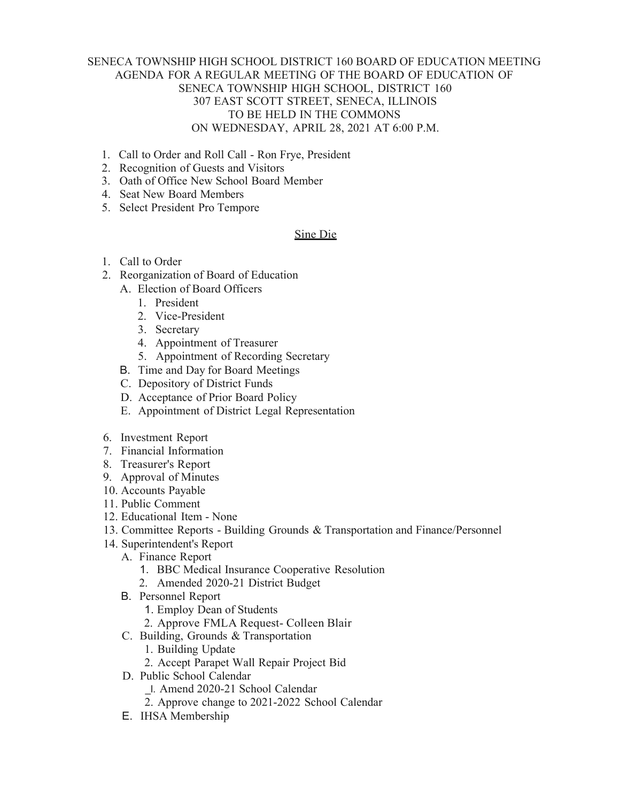## SENECA TOWNSHIP HIGH SCHOOL DISTRICT 160 BOARD OF EDUCATION MEETING AGENDA FOR A REGULAR MEETING OF THE BOARD OF EDUCATION OF SENECA TOWNSHIP HIGH SCHOOL, DISTRICT 160 307 EAST SCOTT STREET, SENECA, ILLINOIS TO BE HELD IN THE COMMONS ON WEDNESDAY, APRIL 28, 2021 AT 6:00 P.M.

- 1. Call to Order and Roll Call Ron Frye, President
- 2. Recognition of Guests and Visitors
- 3. Oath of Office New School Board Member
- 4. Seat New Board Members
- 5. Select President Pro Tempore

## Sine Die

- 1. Call to Order
- 2. Reorganization of Board of Education
	- A. Election of Board Officers
		- 1. President
		- 2. Vice-President
		- 3. Secretary
		- 4. Appointment of Treasurer
		- 5. Appointment of Recording Secretary
	- B. Time and Day for Board Meetings
	- C. Depository of District Funds
	- D. Acceptance of Prior Board Policy
	- E. Appointment of District Legal Representation
- 6. Investment Report
- 7. Financial Information
- 8. Treasurer's Report
- 9. Approval of Minutes
- 10. Accounts Payable
- 11. Public Comment
- 12. Educational Item None
- 13. Committee Reports Building Grounds & Transportation and Finance/Personnel
- 14. Superintendent's Report
	- A. Finance Report
		- 1. BBC Medical Insurance Cooperative Resolution
		- 2. Amended 2020-21 District Budget
	- B. Personnel Report
		- 1. Employ Dean of Students
		- 2. Approve FMLA Request- Colleen Blair
	- C. Building, Grounds & Transportation
		- 1. Building Update
		- 2. Accept Parapet Wall Repair Project Bid
	- D. Public School Calendar
		- \_l. Amend 2020-21 School Calendar
		- 2. Approve change to 2021-2022 School Calendar
	- E. IHSA Membership